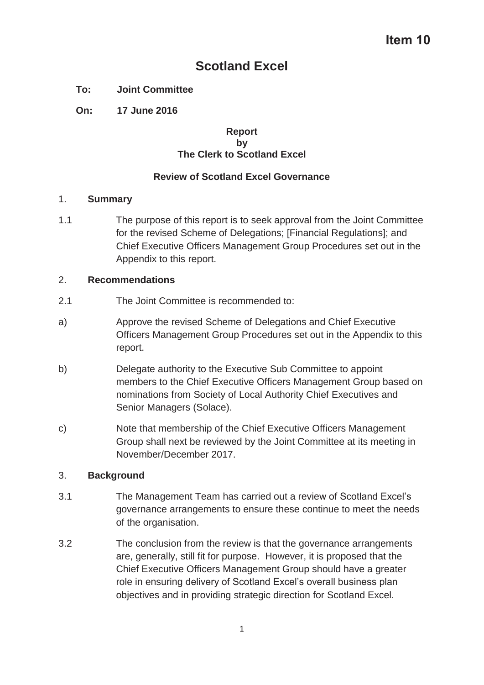### **Scotland Excel**

### **To: Joint Committee**

**On: 17 June 2016** 

#### **Report by The Clerk to Scotland Excel**

### **Review of Scotland Excel Governance**

### 1. **Summary**

1.1 The purpose of this report is to seek approval from the Joint Committee for the revised Scheme of Delegations; [Financial Regulations]; and Chief Executive Officers Management Group Procedures set out in the Appendix to this report.

### 2. **Recommendations**

- 2.1 The Joint Committee is recommended to:
- a) Approve the revised Scheme of Delegations and Chief Executive Officers Management Group Procedures set out in the Appendix to this report.
- b) Delegate authority to the Executive Sub Committee to appoint members to the Chief Executive Officers Management Group based on nominations from Society of Local Authority Chief Executives and Senior Managers (Solace).
- c) Note that membership of the Chief Executive Officers Management Group shall next be reviewed by the Joint Committee at its meeting in November/December 2017.

### 3. **Background**

- 3.1 The Management Team has carried out a review of Scotland Excel's governance arrangements to ensure these continue to meet the needs of the organisation.
- 3.2 The conclusion from the review is that the governance arrangements are, generally, still fit for purpose. However, it is proposed that the Chief Executive Officers Management Group should have a greater role in ensuring delivery of Scotland Excel's overall business plan objectives and in providing strategic direction for Scotland Excel.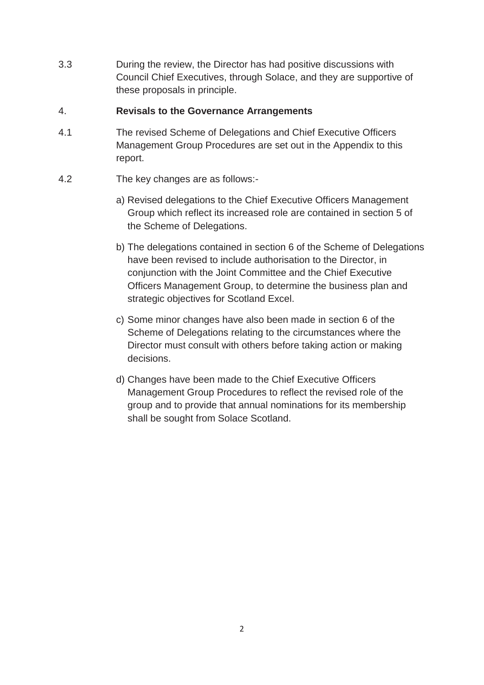3.3 During the review, the Director has had positive discussions with Council Chief Executives, through Solace, and they are supportive of these proposals in principle.

### 4. **Revisals to the Governance Arrangements**

- 4.1 The revised Scheme of Delegations and Chief Executive Officers Management Group Procedures are set out in the Appendix to this report.
- 4.2 The key changes are as follows:
	- a) Revised delegations to the Chief Executive Officers Management Group which reflect its increased role are contained in section 5 of the Scheme of Delegations.
	- b) The delegations contained in section 6 of the Scheme of Delegations have been revised to include authorisation to the Director, in conjunction with the Joint Committee and the Chief Executive Officers Management Group, to determine the business plan and strategic objectives for Scotland Excel.
	- c) Some minor changes have also been made in section 6 of the Scheme of Delegations relating to the circumstances where the Director must consult with others before taking action or making decisions.
	- d) Changes have been made to the Chief Executive Officers Management Group Procedures to reflect the revised role of the group and to provide that annual nominations for its membership shall be sought from Solace Scotland.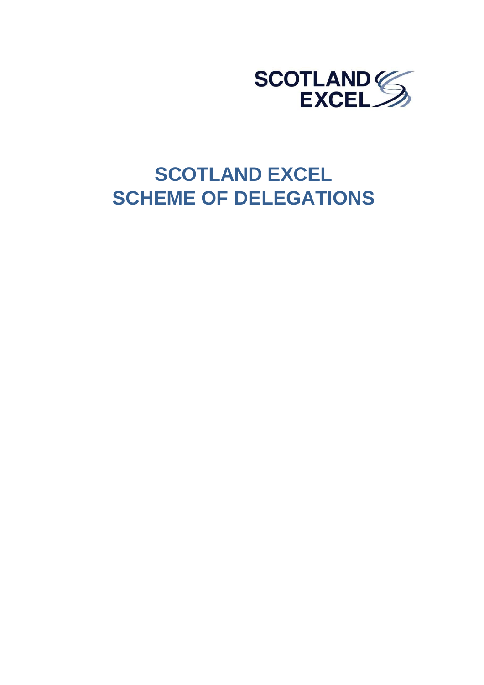

## **SCOTLAND EXCEL SCHEME OF DELEGATIONS**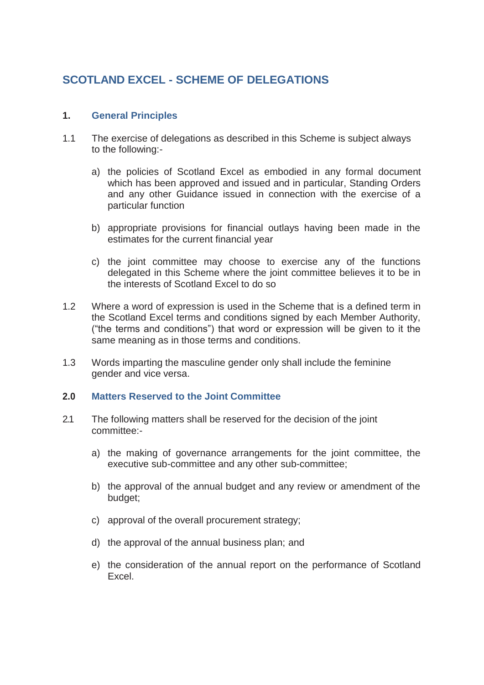### **SCOTLAND EXCEL - SCHEME OF DELEGATIONS**

### **1. General Principles**

- 1.1 The exercise of delegations as described in this Scheme is subject always to the following:
	- a) the policies of Scotland Excel as embodied in any formal document which has been approved and issued and in particular, Standing Orders and any other Guidance issued in connection with the exercise of a particular function
	- b) appropriate provisions for financial outlays having been made in the estimates for the current financial year
	- c) the joint committee may choose to exercise any of the functions delegated in this Scheme where the joint committee believes it to be in the interests of Scotland Excel to do so
- 1.2 Where a word of expression is used in the Scheme that is a defined term in the Scotland Excel terms and conditions signed by each Member Authority, ("the terms and conditions") that word or expression will be given to it the same meaning as in those terms and conditions.
- 1.3 Words imparting the masculine gender only shall include the feminine gender and vice versa.

### **2.0 Matters Reserved to the Joint Committee**

- 2.1 The following matters shall be reserved for the decision of the joint committee:
	- a) the making of governance arrangements for the joint committee, the executive sub-committee and any other sub-committee;
	- b) the approval of the annual budget and any review or amendment of the budget;
	- c) approval of the overall procurement strategy;
	- d) the approval of the annual business plan; and
	- e) the consideration of the annual report on the performance of Scotland Excel.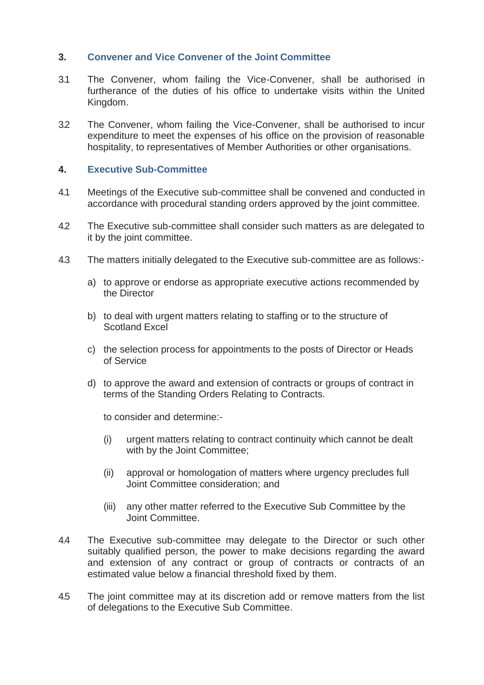### **3. Convener and Vice Convener of the Joint Committee**

- 3.1 The Convener, whom failing the Vice-Convener, shall be authorised in furtherance of the duties of his office to undertake visits within the United Kingdom.
- 3.2 The Convener, whom failing the Vice-Convener, shall be authorised to incur expenditure to meet the expenses of his office on the provision of reasonable hospitality, to representatives of Member Authorities or other organisations.

### **4. Executive Sub-Committee**

- 4.1 Meetings of the Executive sub-committee shall be convened and conducted in accordance with procedural standing orders approved by the joint committee.
- 4.2 The Executive sub-committee shall consider such matters as are delegated to it by the joint committee.
- 4.3 The matters initially delegated to the Executive sub-committee are as follows:
	- a) to approve or endorse as appropriate executive actions recommended by the Director
	- b) to deal with urgent matters relating to staffing or to the structure of Scotland Excel
	- c) the selection process for appointments to the posts of Director or Heads of Service
	- d) to approve the award and extension of contracts or groups of contract in terms of the Standing Orders Relating to Contracts.

to consider and determine:-

- (i) urgent matters relating to contract continuity which cannot be dealt with by the Joint Committee;
- (ii) approval or homologation of matters where urgency precludes full Joint Committee consideration; and
- (iii) any other matter referred to the Executive Sub Committee by the Joint Committee.
- 4.4 The Executive sub-committee may delegate to the Director or such other suitably qualified person, the power to make decisions regarding the award and extension of any contract or group of contracts or contracts of an estimated value below a financial threshold fixed by them.
- 4.5 The joint committee may at its discretion add or remove matters from the list of delegations to the Executive Sub Committee.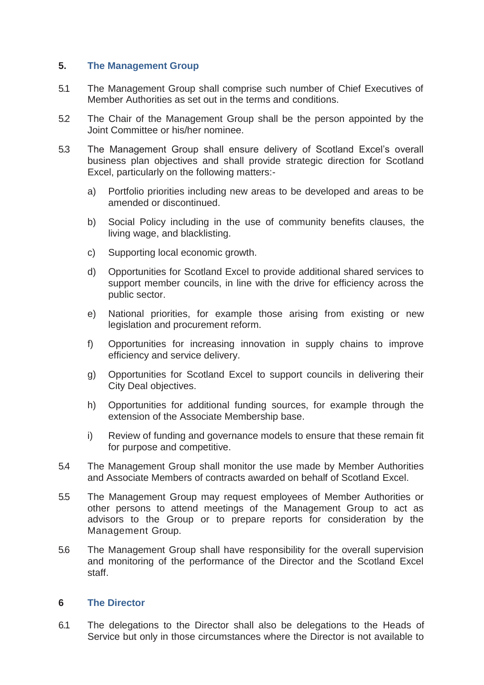### **5. The Management Group**

- 5.1 The Management Group shall comprise such number of Chief Executives of Member Authorities as set out in the terms and conditions.
- 5.2 The Chair of the Management Group shall be the person appointed by the Joint Committee or his/her nominee.
- 5.3 The Management Group shall ensure delivery of Scotland Excel's overall business plan objectives and shall provide strategic direction for Scotland Excel, particularly on the following matters:
	- a) Portfolio priorities including new areas to be developed and areas to be amended or discontinued.
	- b) Social Policy including in the use of community benefits clauses, the living wage, and blacklisting.
	- c) Supporting local economic growth.
	- d) Opportunities for Scotland Excel to provide additional shared services to support member councils, in line with the drive for efficiency across the public sector.
	- e) National priorities, for example those arising from existing or new legislation and procurement reform.
	- f) Opportunities for increasing innovation in supply chains to improve efficiency and service delivery.
	- g) Opportunities for Scotland Excel to support councils in delivering their City Deal objectives.
	- h) Opportunities for additional funding sources, for example through the extension of the Associate Membership base.
	- i) Review of funding and governance models to ensure that these remain fit for purpose and competitive.
- 5.4 The Management Group shall monitor the use made by Member Authorities and Associate Members of contracts awarded on behalf of Scotland Excel.
- 5.5 The Management Group may request employees of Member Authorities or other persons to attend meetings of the Management Group to act as advisors to the Group or to prepare reports for consideration by the Management Group.
- 5.6 The Management Group shall have responsibility for the overall supervision and monitoring of the performance of the Director and the Scotland Excel staff.

### **6 The Director**

6.1 The delegations to the Director shall also be delegations to the Heads of Service but only in those circumstances where the Director is not available to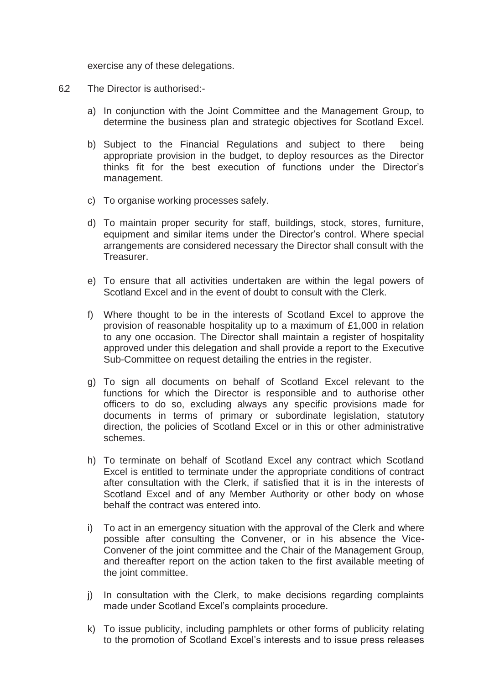exercise any of these delegations.

- 6.2 The Director is authorised:
	- a) In conjunction with the Joint Committee and the Management Group, to determine the business plan and strategic objectives for Scotland Excel.
	- b) Subject to the Financial Regulations and subject to there being appropriate provision in the budget, to deploy resources as the Director thinks fit for the best execution of functions under the Director's management.
	- c) To organise working processes safely.
	- d) To maintain proper security for staff, buildings, stock, stores, furniture, equipment and similar items under the Director's control. Where special arrangements are considered necessary the Director shall consult with the **Treasurer**
	- e) To ensure that all activities undertaken are within the legal powers of Scotland Excel and in the event of doubt to consult with the Clerk.
	- f) Where thought to be in the interests of Scotland Excel to approve the provision of reasonable hospitality up to a maximum of £1,000 in relation to any one occasion. The Director shall maintain a register of hospitality approved under this delegation and shall provide a report to the Executive Sub-Committee on request detailing the entries in the register.
	- g) To sign all documents on behalf of Scotland Excel relevant to the functions for which the Director is responsible and to authorise other officers to do so, excluding always any specific provisions made for documents in terms of primary or subordinate legislation, statutory direction, the policies of Scotland Excel or in this or other administrative schemes.
	- h) To terminate on behalf of Scotland Excel any contract which Scotland Excel is entitled to terminate under the appropriate conditions of contract after consultation with the Clerk, if satisfied that it is in the interests of Scotland Excel and of any Member Authority or other body on whose behalf the contract was entered into.
	- i) To act in an emergency situation with the approval of the Clerk and where possible after consulting the Convener, or in his absence the Vice-Convener of the joint committee and the Chair of the Management Group, and thereafter report on the action taken to the first available meeting of the joint committee.
	- j) In consultation with the Clerk, to make decisions regarding complaints made under Scotland Excel's complaints procedure.
	- k) To issue publicity, including pamphlets or other forms of publicity relating to the promotion of Scotland Excel's interests and to issue press releases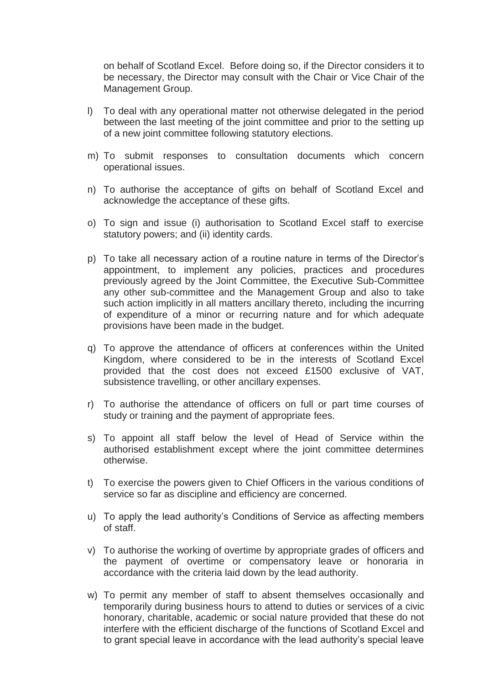on behalf of Scotland Excel. Before doing so, if the Director considers it to be necessary, the Director may consult with the Chair or Vice Chair of the Management Group.

- l) To deal with any operational matter not otherwise delegated in the period between the last meeting of the joint committee and prior to the setting up of a new joint committee following statutory elections.
- m) To submit responses to consultation documents which concern operational issues.
- n) To authorise the acceptance of gifts on behalf of Scotland Excel and acknowledge the acceptance of these gifts.
- o) To sign and issue (i) authorisation to Scotland Excel staff to exercise statutory powers; and (ii) identity cards.
- p) To take all necessary action of a routine nature in terms of the Director's appointment, to implement any policies, practices and procedures previously agreed by the Joint Committee, the Executive Sub-Committee any other sub-committee and the Management Group and also to take such action implicitly in all matters ancillary thereto, including the incurring of expenditure of a minor or recurring nature and for which adequate provisions have been made in the budget.
- q) To approve the attendance of officers at conferences within the United Kingdom, where considered to be in the interests of Scotland Excel provided that the cost does not exceed £1500 exclusive of VAT, subsistence travelling, or other ancillary expenses.
- r) To authorise the attendance of officers on full or part time courses of study or training and the payment of appropriate fees.
- s) To appoint all staff below the level of Head of Service within the authorised establishment except where the joint committee determines otherwise.
- t) To exercise the powers given to Chief Officers in the various conditions of service so far as discipline and efficiency are concerned.
- u) To apply the lead authority's Conditions of Service as affecting members of staff.
- v) To authorise the working of overtime by appropriate grades of officers and the payment of overtime or compensatory leave or honoraria in accordance with the criteria laid down by the lead authority.
- w) To permit any member of staff to absent themselves occasionally and temporarily during business hours to attend to duties or services of a civic honorary, charitable, academic or social nature provided that these do not interfere with the efficient discharge of the functions of Scotland Excel and to grant special leave in accordance with the lead authority's special leave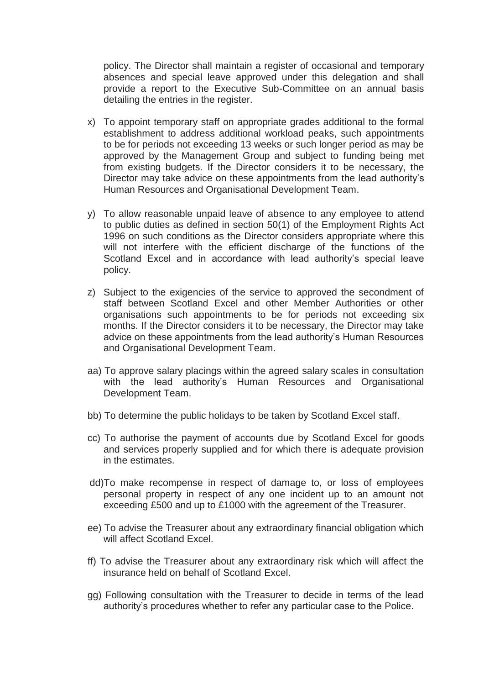policy. The Director shall maintain a register of occasional and temporary absences and special leave approved under this delegation and shall provide a report to the Executive Sub-Committee on an annual basis detailing the entries in the register.

- x) To appoint temporary staff on appropriate grades additional to the formal establishment to address additional workload peaks, such appointments to be for periods not exceeding 13 weeks or such longer period as may be approved by the Management Group and subject to funding being met from existing budgets. If the Director considers it to be necessary, the Director may take advice on these appointments from the lead authority's Human Resources and Organisational Development Team.
- y) To allow reasonable unpaid leave of absence to any employee to attend to public duties as defined in section 50(1) of the Employment Rights Act 1996 on such conditions as the Director considers appropriate where this will not interfere with the efficient discharge of the functions of the Scotland Excel and in accordance with lead authority's special leave policy.
- z) Subject to the exigencies of the service to approved the secondment of staff between Scotland Excel and other Member Authorities or other organisations such appointments to be for periods not exceeding six months. If the Director considers it to be necessary, the Director may take advice on these appointments from the lead authority's Human Resources and Organisational Development Team.
- aa) To approve salary placings within the agreed salary scales in consultation with the lead authority's Human Resources and Organisational Development Team.
- bb) To determine the public holidays to be taken by Scotland Excel staff.
- cc) To authorise the payment of accounts due by Scotland Excel for goods and services properly supplied and for which there is adequate provision in the estimates.
- dd)To make recompense in respect of damage to, or loss of employees personal property in respect of any one incident up to an amount not exceeding £500 and up to £1000 with the agreement of the Treasurer.
- ee) To advise the Treasurer about any extraordinary financial obligation which will affect Scotland Excel.
- ff) To advise the Treasurer about any extraordinary risk which will affect the insurance held on behalf of Scotland Excel.
- gg) Following consultation with the Treasurer to decide in terms of the lead authority's procedures whether to refer any particular case to the Police.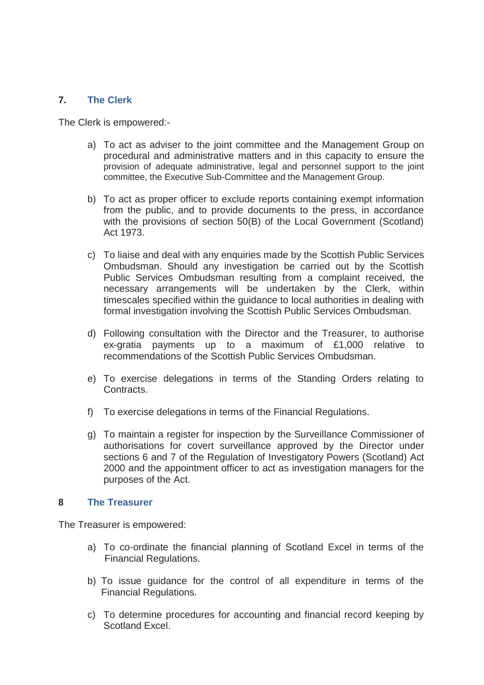### **7. The Clerk**

The Clerk is empowered:-

- a) To act as adviser to the joint committee and the Management Group on procedural and administrative matters and in this capacity to ensure the provision of adequate administrative, legal and personnel support to the joint committee, the Executive Sub-Committee and the Management Group.
- b) To act as proper officer to exclude reports containing exempt information from the public, and to provide documents to the press, in accordance with the provisions of section 50(B) of the Local Government (Scotland) Act 1973.
- c) To liaise and deal with any enquiries made by the Scottish Public Services Ombudsman. Should any investigation be carried out by the Scottish Public Services Ombudsman resulting from a complaint received, the necessary arrangements will be undertaken by the Clerk, within timescales specified within the guidance to local authorities in dealing with formal investigation involving the Scottish Public Services Ombudsman.
- d) Following consultation with the Director and the Treasurer, to authorise ex-gratia payments up to a maximum of £1,000 relative to recommendations of the Scottish Public Services Ombudsman.
- e) To exercise delegations in terms of the Standing Orders relating to Contracts.
- f) To exercise delegations in terms of the Financial Regulations.
- g) To maintain a register for inspection by the Surveillance Commissioner of authorisations for covert surveillance approved by the Director under sections 6 and 7 of the Regulation of Investigatory Powers (Scotland) Act 2000 and the appointment officer to act as investigation managers for the purposes of the Act.

### **8 The Treasurer**

The Treasurer is empowered:

- a) To co-ordinate the financial planning of Scotland Excel in terms of the Financial Regulations.
- b) To issue guidance for the control of all expenditure in terms of the Financial Regulations.
- c) To determine procedures for accounting and financial record keeping by Scotland Excel.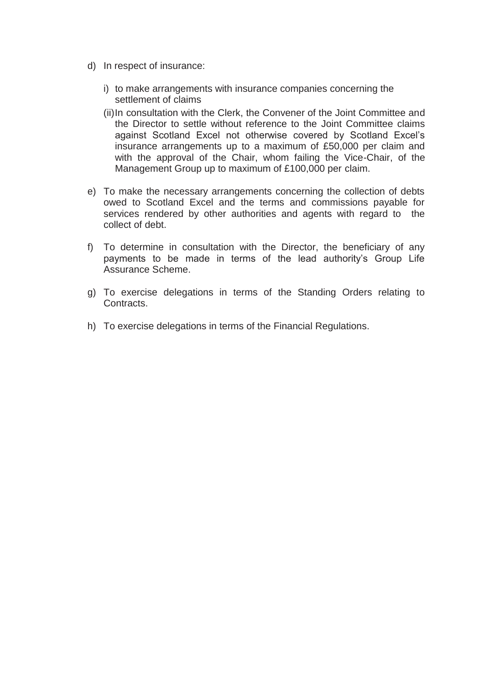- d) In respect of insurance:
	- i) to make arrangements with insurance companies concerning the settlement of claims
	- (ii) In consultation with the Clerk, the Convener of the Joint Committee and the Director to settle without reference to the Joint Committee claims against Scotland Excel not otherwise covered by Scotland Excel's insurance arrangements up to a maximum of £50,000 per claim and with the approval of the Chair, whom failing the Vice-Chair, of the Management Group up to maximum of £100,000 per claim.
- e) To make the necessary arrangements concerning the collection of debts owed to Scotland Excel and the terms and commissions payable for services rendered by other authorities and agents with regard to the collect of debt.
- f) To determine in consultation with the Director, the beneficiary of any payments to be made in terms of the lead authority's Group Life Assurance Scheme.
- g) To exercise delegations in terms of the Standing Orders relating to Contracts.
- h) To exercise delegations in terms of the Financial Regulations.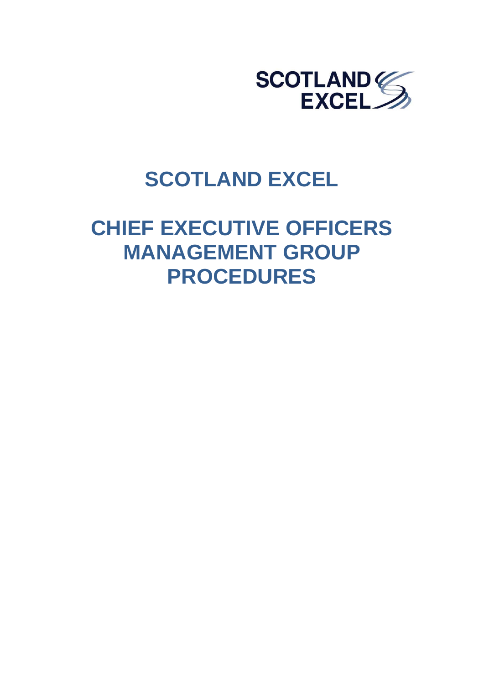

## **SCOTLAND EXCEL**

# **CHIEF EXECUTIVE OFFICERS MANAGEMENT GROUP PROCEDURES**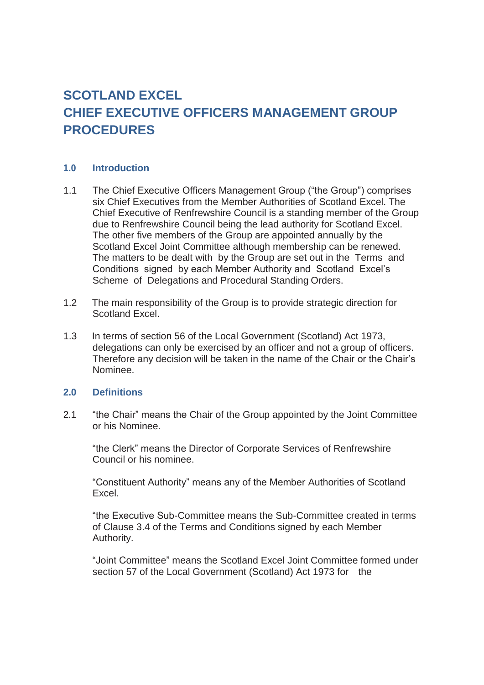### **SCOTLAND EXCEL CHIEF EXECUTIVE OFFICERS MANAGEMENT GROUP PROCEDURES**

### **1.0 Introduction**

- 1.1 The Chief Executive Officers Management Group ("the Group") comprises six Chief Executives from the Member Authorities of Scotland Excel. The Chief Executive of Renfrewshire Council is a standing member of the Group due to Renfrewshire Council being the lead authority for Scotland Excel. The other five members of the Group are appointed annually by the Scotland Excel Joint Committee although membership can be renewed. The matters to be dealt with by the Group are set out in the Terms and Conditions signed by each Member Authority and Scotland Excel's Scheme of Delegations and Procedural Standing Orders.
- 1.2 The main responsibility of the Group is to provide strategic direction for Scotland Excel.
- 1.3 In terms of section 56 of the Local Government (Scotland) Act 1973, delegations can only be exercised by an officer and not a group of officers. Therefore any decision will be taken in the name of the Chair or the Chair's Nominee.

### **2.0 Definitions**

2.1 "the Chair" means the Chair of the Group appointed by the Joint Committee or his Nominee.

"the Clerk" means the Director of Corporate Services of Renfrewshire Council or his nominee.

"Constituent Authority" means any of the Member Authorities of Scotland Excel.

"the Executive Sub-Committee means the Sub-Committee created in terms of Clause 3.4 of the Terms and Conditions signed by each Member Authority.

"Joint Committee" means the Scotland Excel Joint Committee formed under section 57 of the Local Government (Scotland) Act 1973 for the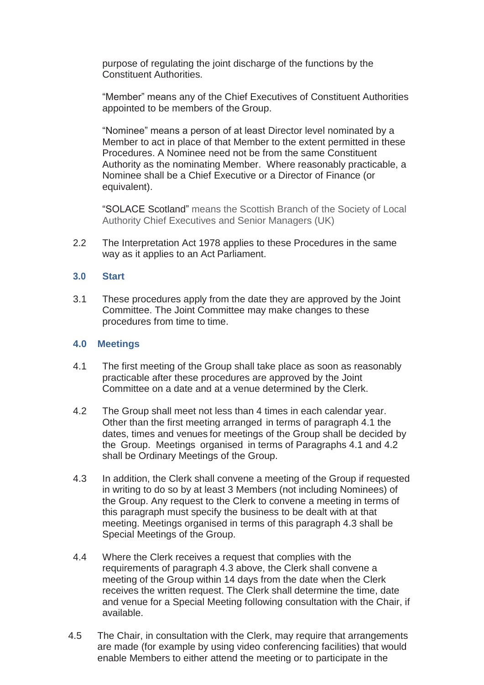purpose of regulating the joint discharge of the functions by the Constituent Authorities.

"Member" means any of the Chief Executives of Constituent Authorities appointed to be members of the Group.

"Nominee" means a person of at least Director level nominated by a Member to act in place of that Member to the extent permitted in these Procedures. A Nominee need not be from the same Constituent Authority as the nominating Member. Where reasonably practicable, a Nominee shall be a Chief Executive or a Director of Finance (or equivalent).

"SOLACE Scotland" means the Scottish Branch of the Society of Local Authority Chief Executives and Senior Managers (UK)

2.2 The Interpretation Act 1978 applies to these Procedures in the same way as it applies to an Act Parliament.

### **3.0 Start**

3.1 These procedures apply from the date they are approved by the Joint Committee. The Joint Committee may make changes to these procedures from time to time.

#### **4.0 Meetings**

- 4.1 The first meeting of the Group shall take place as soon as reasonably practicable after these procedures are approved by the Joint Committee on a date and at a venue determined by the Clerk.
- 4.2 The Group shall meet not less than 4 times in each calendar year. Other than the first meeting arranged in terms of paragraph 4.1 the dates, times and venues for meetings of the Group shall be decided by the Group. Meetings organised in terms of Paragraphs 4.1 and 4.2 shall be Ordinary Meetings of the Group.
- 4.3 In addition, the Clerk shall convene a meeting of the Group if requested in writing to do so by at least 3 Members (not including Nominees) of the Group. Any request to the Clerk to convene a meeting in terms of this paragraph must specify the business to be dealt with at that meeting. Meetings organised in terms of this paragraph 4.3 shall be Special Meetings of the Group.
- 4.4 Where the Clerk receives a request that complies with the requirements of paragraph 4.3 above, the Clerk shall convene a meeting of the Group within 14 days from the date when the Clerk receives the written request. The Clerk shall determine the time, date and venue for a Special Meeting following consultation with the Chair, if available.
- 4.5 The Chair, in consultation with the Clerk, may require that arrangements are made (for example by using video conferencing facilities) that would enable Members to either attend the meeting or to participate in the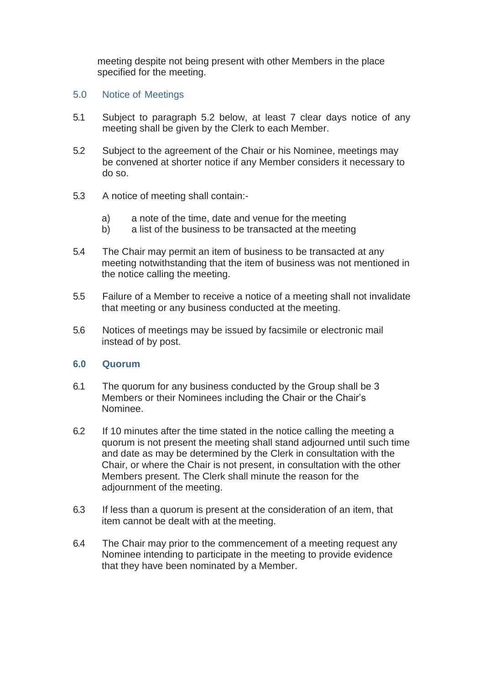meeting despite not being present with other Members in the place specified for the meeting.

### 5.0 Notice of Meetings

- 5.1 Subject to paragraph 5.2 below, at least 7 clear days notice of any meeting shall be given by the Clerk to each Member.
- 5.2 Subject to the agreement of the Chair or his Nominee, meetings may be convened at shorter notice if any Member considers it necessary to do so.
- 5.3 A notice of meeting shall contain:
	- a) a note of the time, date and venue for the meeting
	- b) a list of the business to be transacted at the meeting
- 5.4 The Chair may permit an item of business to be transacted at any meeting notwithstanding that the item of business was not mentioned in the notice calling the meeting.
- 5.5 Failure of a Member to receive a notice of a meeting shall not invalidate that meeting or any business conducted at the meeting.
- 5.6 Notices of meetings may be issued by facsimile or electronic mail instead of by post.

### **6.0 Quorum**

- 6.1 The quorum for any business conducted by the Group shall be 3 Members or their Nominees including the Chair or the Chair's Nominee.
- 6.2 If 10 minutes after the time stated in the notice calling the meeting a quorum is not present the meeting shall stand adjourned until such time and date as may be determined by the Clerk in consultation with the Chair, or where the Chair is not present, in consultation with the other Members present. The Clerk shall minute the reason for the adjournment of the meeting.
- 6.3 If less than a quorum is present at the consideration of an item, that item cannot be dealt with at the meeting.
- 6.4 The Chair may prior to the commencement of a meeting request any Nominee intending to participate in the meeting to provide evidence that they have been nominated by a Member.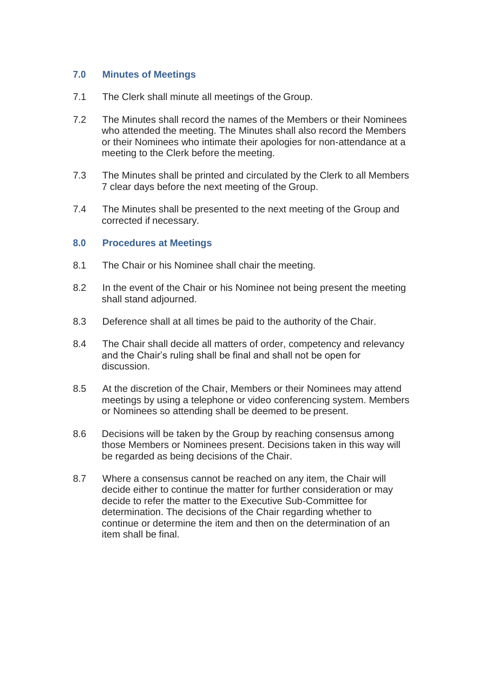### **7.0 Minutes of Meetings**

- 7.1 The Clerk shall minute all meetings of the Group.
- 7.2 The Minutes shall record the names of the Members or their Nominees who attended the meeting. The Minutes shall also record the Members or their Nominees who intimate their apologies for non-attendance at a meeting to the Clerk before the meeting.
- 7.3 The Minutes shall be printed and circulated by the Clerk to all Members 7 clear days before the next meeting of the Group.
- 7.4 The Minutes shall be presented to the next meeting of the Group and corrected if necessary.

### **8.0 Procedures at Meetings**

- 8.1 The Chair or his Nominee shall chair the meeting.
- 8.2 In the event of the Chair or his Nominee not being present the meeting shall stand adjourned.
- 8.3 Deference shall at all times be paid to the authority of the Chair.
- 8.4 The Chair shall decide all matters of order, competency and relevancy and the Chair's ruling shall be final and shall not be open for discussion.
- 8.5 At the discretion of the Chair, Members or their Nominees may attend meetings by using a telephone or video conferencing system. Members or Nominees so attending shall be deemed to be present.
- 8.6 Decisions will be taken by the Group by reaching consensus among those Members or Nominees present. Decisions taken in this way will be regarded as being decisions of the Chair.
- 8.7 Where a consensus cannot be reached on any item, the Chair will decide either to continue the matter for further consideration or may decide to refer the matter to the Executive Sub-Committee for determination. The decisions of the Chair regarding whether to continue or determine the item and then on the determination of an item shall be final.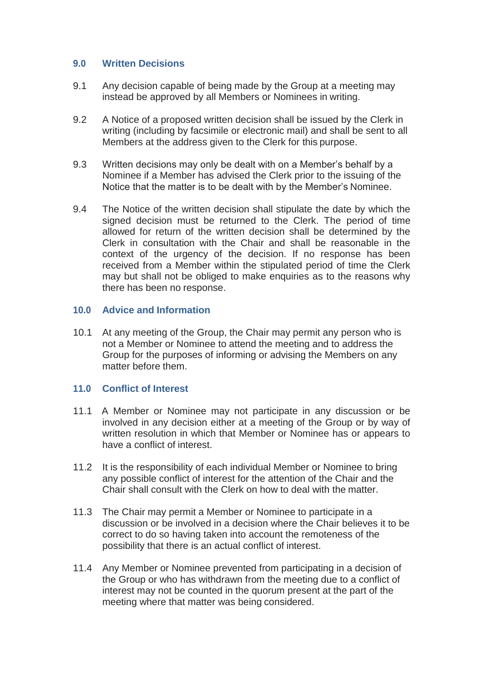### **9.0 Written Decisions**

- 9.1 Any decision capable of being made by the Group at a meeting may instead be approved by all Members or Nominees in writing.
- 9.2 A Notice of a proposed written decision shall be issued by the Clerk in writing (including by facsimile or electronic mail) and shall be sent to all Members at the address given to the Clerk for this purpose.
- 9.3 Written decisions may only be dealt with on a Member's behalf by a Nominee if a Member has advised the Clerk prior to the issuing of the Notice that the matter is to be dealt with by the Member's Nominee.
- 9.4 The Notice of the written decision shall stipulate the date by which the signed decision must be returned to the Clerk. The period of time allowed for return of the written decision shall be determined by the Clerk in consultation with the Chair and shall be reasonable in the context of the urgency of the decision. If no response has been received from a Member within the stipulated period of time the Clerk may but shall not be obliged to make enquiries as to the reasons why there has been no response.

### **10.0 Advice and Information**

10.1 At any meeting of the Group, the Chair may permit any person who is not a Member or Nominee to attend the meeting and to address the Group for the purposes of informing or advising the Members on any matter before them.

### **11.0 Conflict of Interest**

- 11.1 A Member or Nominee may not participate in any discussion or be involved in any decision either at a meeting of the Group or by way of written resolution in which that Member or Nominee has or appears to have a conflict of interest.
- 11.2 It is the responsibility of each individual Member or Nominee to bring any possible conflict of interest for the attention of the Chair and the Chair shall consult with the Clerk on how to deal with the matter.
- 11.3 The Chair may permit a Member or Nominee to participate in a discussion or be involved in a decision where the Chair believes it to be correct to do so having taken into account the remoteness of the possibility that there is an actual conflict of interest.
- 11.4 Any Member or Nominee prevented from participating in a decision of the Group or who has withdrawn from the meeting due to a conflict of interest may not be counted in the quorum present at the part of the meeting where that matter was being considered.